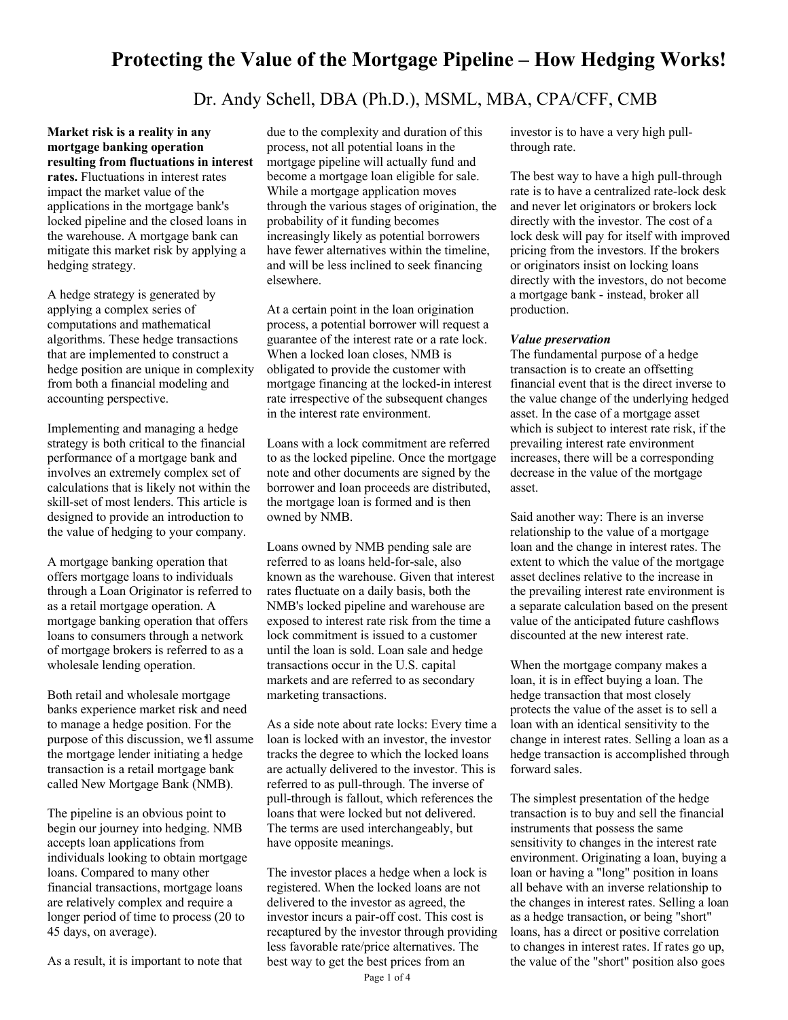# **Protecting the Value of the Mortgage Pipeline – How Hedging Works!**

# Dr. Andy Schell, DBA (Ph.D.), MSML, MBA, CPA/CFF, CMB

**Market risk is a reality in any mortgage banking operation resulting from fluctuations in interest rates.** Fluctuations in interest rates impact the market value of the applications in the mortgage bank's locked pipeline and the closed loans in the warehouse. A mortgage bank can mitigate this market risk by applying a hedging strategy.

A hedge strategy is generated by applying a complex series of computations and mathematical algorithms. These hedge transactions that are implemented to construct a hedge position are unique in complexity from both a financial modeling and accounting perspective.

Implementing and managing a hedge strategy is both critical to the financial performance of a mortgage bank and involves an extremely complex set of calculations that is likely not within the skill-set of most lenders. This article is designed to provide an introduction to the value of hedging to your company.

A mortgage banking operation that offers mortgage loans to individuals through a Loan Originator is referred to as a retail mortgage operation. A mortgage banking operation that offers loans to consumers through a network of mortgage brokers is referred to as a wholesale lending operation.

Both retail and wholesale mortgage banks experience market risk and need to manage a hedge position. For the purpose of this discussion, we ll assume the mortgage lender initiating a hedge transaction is a retail mortgage bank called New Mortgage Bank (NMB).

The pipeline is an obvious point to begin our journey into hedging. NMB accepts loan applications from individuals looking to obtain mortgage loans. Compared to many other financial transactions, mortgage loans are relatively complex and require a longer period of time to process (20 to 45 days, on average).

As a result, it is important to note that

due to the complexity and duration of this process, not all potential loans in the mortgage pipeline will actually fund and become a mortgage loan eligible for sale. While a mortgage application moves through the various stages of origination, the probability of it funding becomes increasingly likely as potential borrowers have fewer alternatives within the timeline, and will be less inclined to seek financing elsewhere.

At a certain point in the loan origination process, a potential borrower will request a guarantee of the interest rate or a rate lock. When a locked loan closes, NMB is obligated to provide the customer with mortgage financing at the locked-in interest rate irrespective of the subsequent changes in the interest rate environment.

Loans with a lock commitment are referred to as the locked pipeline. Once the mortgage note and other documents are signed by the borrower and loan proceeds are distributed, the mortgage loan is formed and is then owned by NMB.

Loans owned by NMB pending sale are referred to as loans held-for-sale, also known as the warehouse. Given that interest rates fluctuate on a daily basis, both the NMB's locked pipeline and warehouse are exposed to interest rate risk from the time a lock commitment is issued to a customer until the loan is sold. Loan sale and hedge transactions occur in the U.S. capital markets and are referred to as secondary marketing transactions.

As a side note about rate locks: Every time a loan is locked with an investor, the investor tracks the degree to which the locked loans are actually delivered to the investor. This is referred to as pull-through. The inverse of pull-through is fallout, which references the loans that were locked but not delivered. The terms are used interchangeably, but have opposite meanings.

The investor places a hedge when a lock is registered. When the locked loans are not delivered to the investor as agreed, the investor incurs a pair-off cost. This cost is recaptured by the investor through providing less favorable rate/price alternatives. The best way to get the best prices from an

Page 1 of 4

investor is to have a very high pullthrough rate.

The best way to have a high pull-through rate is to have a centralized rate-lock desk and never let originators or brokers lock directly with the investor. The cost of a lock desk will pay for itself with improved pricing from the investors. If the brokers or originators insist on locking loans directly with the investors, do not become a mortgage bank - instead, broker all production.

#### *Value preservation*

The fundamental purpose of a hedge transaction is to create an offsetting financial event that is the direct inverse to the value change of the underlying hedged asset. In the case of a mortgage asset which is subject to interest rate risk, if the prevailing interest rate environment increases, there will be a corresponding decrease in the value of the mortgage asset.

Said another way: There is an inverse relationship to the value of a mortgage loan and the change in interest rates. The extent to which the value of the mortgage asset declines relative to the increase in the prevailing interest rate environment is a separate calculation based on the present value of the anticipated future cashflows discounted at the new interest rate.

When the mortgage company makes a loan, it is in effect buying a loan. The hedge transaction that most closely protects the value of the asset is to sell a loan with an identical sensitivity to the change in interest rates. Selling a loan as a hedge transaction is accomplished through forward sales.

The simplest presentation of the hedge transaction is to buy and sell the financial instruments that possess the same sensitivity to changes in the interest rate environment. Originating a loan, buying a loan or having a "long" position in loans all behave with an inverse relationship to the changes in interest rates. Selling a loan as a hedge transaction, or being "short" loans, has a direct or positive correlation to changes in interest rates. If rates go up, the value of the "short" position also goes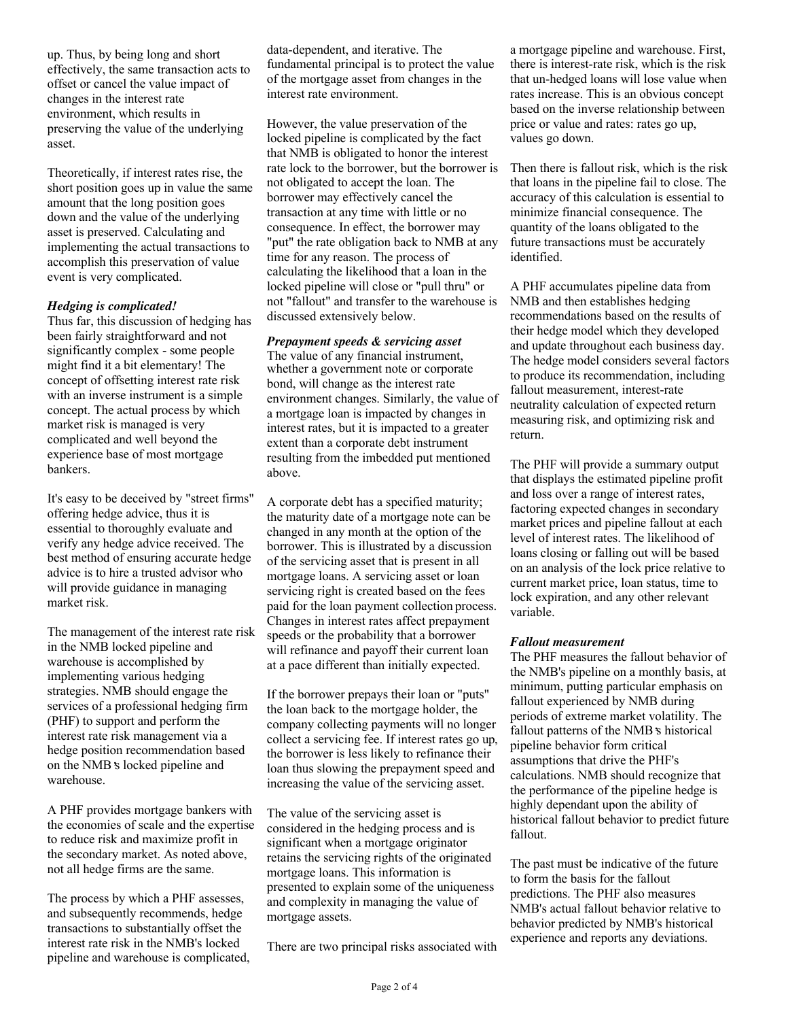up. Thus, by being long and short effectively, the same transaction acts to offset or cancel the value impact of changes in the interest rate environment, which results in preserving the value of the underlying asset.

Theoretically, if interest rates rise, the short position goes up in value the same amount that the long position goes down and the value of the underlying asset is preserved. Calculating and implementing the actual transactions to accomplish this preservation of value event is very complicated.

#### *Hedging is complicated!*

Thus far, this discussion of hedging has been fairly straightforward and not significantly complex - some people might find it a bit elementary! The concept of offsetting interest rate risk with an inverse instrument is a simple concept. The actual process by which market risk is managed is very complicated and well beyond the experience base of most mortgage bankers.

It's easy to be deceived by "street firms" offering hedge advice, thus it is essential to thoroughly evaluate and verify any hedge advice received. The best method of ensuring accurate hedge advice is to hire a trusted advisor who will provide guidance in managing market risk.

The management of the interest rate risk in the NMB locked pipeline and warehouse is accomplished by implementing various hedging strategies. NMB should engage the services of a professional hedging firm (PHF) to support and perform the interest rate risk management via a hedge position recommendation based on the NMB s locked pipeline and warehouse.

A PHF provides mortgage bankers with the economies of scale and the expertise to reduce risk and maximize profit in the secondary market. As noted above, not all hedge firms are the same.

The process by which a PHF assesses, and subsequently recommends, hedge transactions to substantially offset the interest rate risk in the NMB's locked pipeline and warehouse is complicated, data-dependent, and iterative. The fundamental principal is to protect the value of the mortgage asset from changes in the interest rate environment.

However, the value preservation of the locked pipeline is complicated by the fact that NMB is obligated to honor the interest rate lock to the borrower, but the borrower is not obligated to accept the loan. The borrower may effectively cancel the transaction at any time with little or no consequence. In effect, the borrower may "put" the rate obligation back to NMB at any time for any reason. The process of calculating the likelihood that a loan in the locked pipeline will close or "pull thru" or not "fallout" and transfer to the warehouse is discussed extensively below.

## *Prepayment speeds & servicing asset*

The value of any financial instrument, whether a government note or corporate bond, will change as the interest rate environment changes. Similarly, the value of a mortgage loan is impacted by changes in interest rates, but it is impacted to a greater extent than a corporate debt instrument resulting from the imbedded put mentioned above.

A corporate debt has a specified maturity; the maturity date of a mortgage note can be changed in any month at the option of the borrower. This is illustrated by a discussion of the servicing asset that is present in all mortgage loans. A servicing asset or loan servicing right is created based on the fees paid for the loan payment collection process. Changes in interest rates affect prepayment speeds or the probability that a borrower will refinance and payoff their current loan at a pace different than initially expected.

If the borrower prepays their loan or "puts" the loan back to the mortgage holder, the company collecting payments will no longer collect a servicing fee. If interest rates go up, the borrower is less likely to refinance their loan thus slowing the prepayment speed and increasing the value of the servicing asset.

The value of the servicing asset is considered in the hedging process and is significant when a mortgage originator retains the servicing rights of the originated mortgage loans. This information is presented to explain some of the uniqueness and complexity in managing the value of mortgage assets.

There are two principal risks associated with

a mortgage pipeline and warehouse. First, there is interest-rate risk, which is the risk that un-hedged loans will lose value when rates increase. This is an obvious concept based on the inverse relationship between price or value and rates: rates go up, values go down.

Then there is fallout risk, which is the risk that loans in the pipeline fail to close. The accuracy of this calculation is essential to minimize financial consequence. The quantity of the loans obligated to the future transactions must be accurately identified.

A PHF accumulates pipeline data from NMB and then establishes hedging recommendations based on the results of their hedge model which they developed and update throughout each business day. The hedge model considers several factors to produce its recommendation, including fallout measurement, interest-rate neutrality calculation of expected return measuring risk, and optimizing risk and return.

The PHF will provide a summary output that displays the estimated pipeline profit and loss over a range of interest rates, factoring expected changes in secondary market prices and pipeline fallout at each level of interest rates. The likelihood of loans closing or falling out will be based on an analysis of the lock price relative to current market price, loan status, time to lock expiration, and any other relevant variable.

#### *Fallout measurement*

The PHF measures the fallout behavior of the NMB's pipeline on a monthly basis, at minimum, putting particular emphasis on fallout experienced by NMB during periods of extreme market volatility. The fallout patterns of the NMB s historical pipeline behavior form critical assumptions that drive the PHF's calculations. NMB should recognize that the performance of the pipeline hedge is highly dependant upon the ability of historical fallout behavior to predict future fallout.

The past must be indicative of the future to form the basis for the fallout predictions. The PHF also measures NMB's actual fallout behavior relative to behavior predicted by NMB's historical experience and reports any deviations.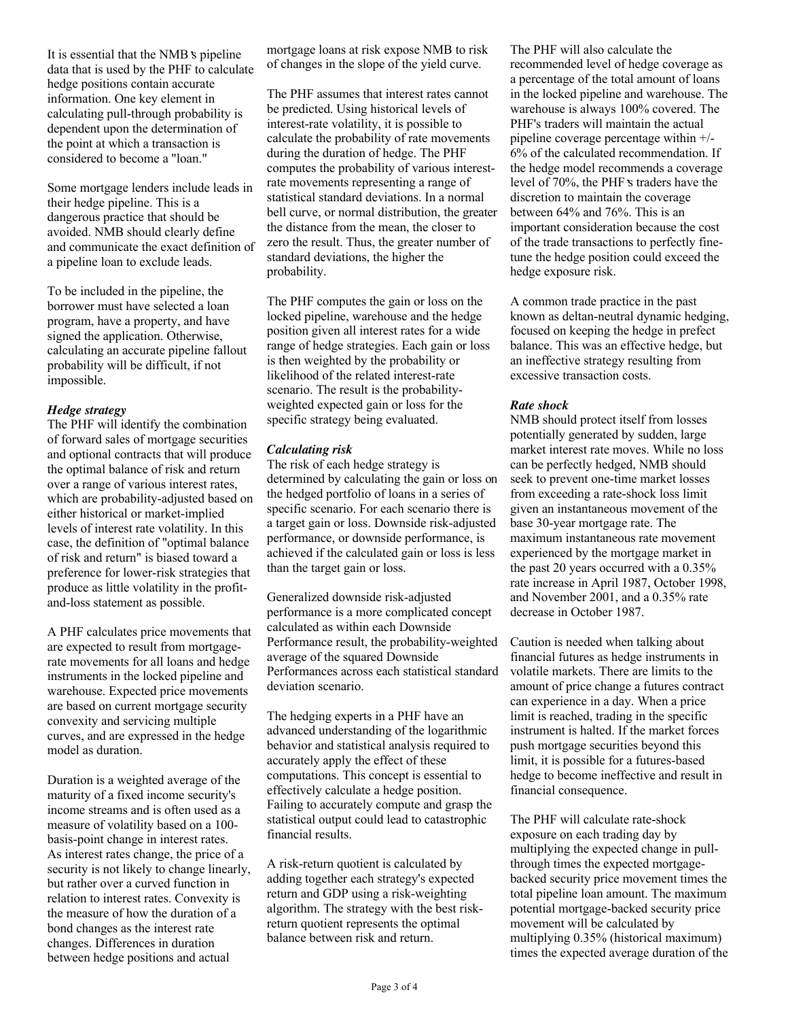It is essential that the NMB s pipeline data that is used by the PHF to calculate hedge positions contain accurate information. One key element in calculating pull-through probability is dependent upon the determination of the point at which a transaction is considered to become a "loan."

Some mortgage lenders include leads in their hedge pipeline. This is a dangerous practice that should be avoided. NMB should clearly define and communicate the exact definition of a pipeline loan to exclude leads.

To be included in the pipeline, the borrower must have selected a loan program, have a property, and have signed the application. Otherwise, calculating an accurate pipeline fallout probability will be difficult, if not impossible.

#### *Hedge strategy*

The PHF will identify the combination of forward sales of mortgage securities and optional contracts that will produce the optimal balance of risk and return over a range of various interest rates, which are probability-adjusted based on either historical or market-implied levels of interest rate volatility. In this case, the definition of "optimal balance of risk and return" is biased toward a preference for lower-risk strategies that produce as little volatility in the profitand-loss statement as possible.

A PHF calculates price movements that are expected to result from mortgagerate movements for all loans and hedge instruments in the locked pipeline and warehouse. Expected price movements are based on current mortgage security convexity and servicing multiple curves, and are expressed in the hedge model as duration.

Duration is a weighted average of the maturity of a fixed income security's income streams and is often used as a measure of volatility based on a 100 basis-point change in interest rates. As interest rates change, the price of a security is not likely to change linearly, but rather over a curved function in relation to interest rates. Convexity is the measure of how the duration of a bond changes as the interest rate changes. Differences in duration between hedge positions and actual

mortgage loans at risk expose NMB to risk of changes in the slope of the yield curve.

The PHF assumes that interest rates cannot be predicted. Using historical levels of interest-rate volatility, it is possible to calculate the probability of rate movements during the duration of hedge. The PHF computes the probability of various interestrate movements representing a range of statistical standard deviations. In a normal bell curve, or normal distribution, the greater the distance from the mean, the closer to zero the result. Thus, the greater number of standard deviations, the higher the probability.

The PHF computes the gain or loss on the locked pipeline, warehouse and the hedge position given all interest rates for a wide range of hedge strategies. Each gain or loss is then weighted by the probability or likelihood of the related interest-rate scenario. The result is the probabilityweighted expected gain or loss for the specific strategy being evaluated.

### *Calculating risk*

The risk of each hedge strategy is determined by calculating the gain or loss on the hedged portfolio of loans in a series of specific scenario. For each scenario there is a target gain or loss. Downside risk-adjusted performance, or downside performance, is achieved if the calculated gain or loss is less than the target gain or loss.

Generalized downside risk-adjusted performance is a more complicated concept calculated as within each Downside Performance result, the probability-weighted average of the squared Downside Performances across each statistical standard deviation scenario.

The hedging experts in a PHF have an advanced understanding of the logarithmic behavior and statistical analysis required to accurately apply the effect of these computations. This concept is essential to effectively calculate a hedge position. Failing to accurately compute and grasp the statistical output could lead to catastrophic financial results.

A risk-return quotient is calculated by adding together each strategy's expected return and GDP using a risk-weighting algorithm. The strategy with the best riskreturn quotient represents the optimal balance between risk and return.

The PHF will also calculate the recommended level of hedge coverage as a percentage of the total amount of loans in the locked pipeline and warehouse. The warehouse is always 100% covered. The PHF's traders will maintain the actual pipeline coverage percentage within +/- 6% of the calculated recommendation. If the hedge model recommends a coverage level of 70%, the PHF s traders have the discretion to maintain the coverage between 64% and 76%. This is an important consideration because the cost of the trade transactions to perfectly finetune the hedge position could exceed the hedge exposure risk.

A common trade practice in the past known as deltan-neutral dynamic hedging, focused on keeping the hedge in prefect balance. This was an effective hedge, but an ineffective strategy resulting from excessive transaction costs.

#### *Rate shock*

NMB should protect itself from losses potentially generated by sudden, large market interest rate moves. While no loss can be perfectly hedged, NMB should seek to prevent one-time market losses from exceeding a rate-shock loss limit given an instantaneous movement of the base 30-year mortgage rate. The maximum instantaneous rate movement experienced by the mortgage market in the past 20 years occurred with a 0.35% rate increase in April 1987, October 1998, and November 2001, and a 0.35% rate decrease in October 1987.

Caution is needed when talking about financial futures as hedge instruments in volatile markets. There are limits to the amount of price change a futures contract can experience in a day. When a price limit is reached, trading in the specific instrument is halted. If the market forces push mortgage securities beyond this limit, it is possible for a futures-based hedge to become ineffective and result in financial consequence.

The PHF will calculate rate-shock exposure on each trading day by multiplying the expected change in pullthrough times the expected mortgagebacked security price movement times the total pipeline loan amount. The maximum potential mortgage-backed security price movement will be calculated by multiplying 0.35% (historical maximum) times the expected average duration of the